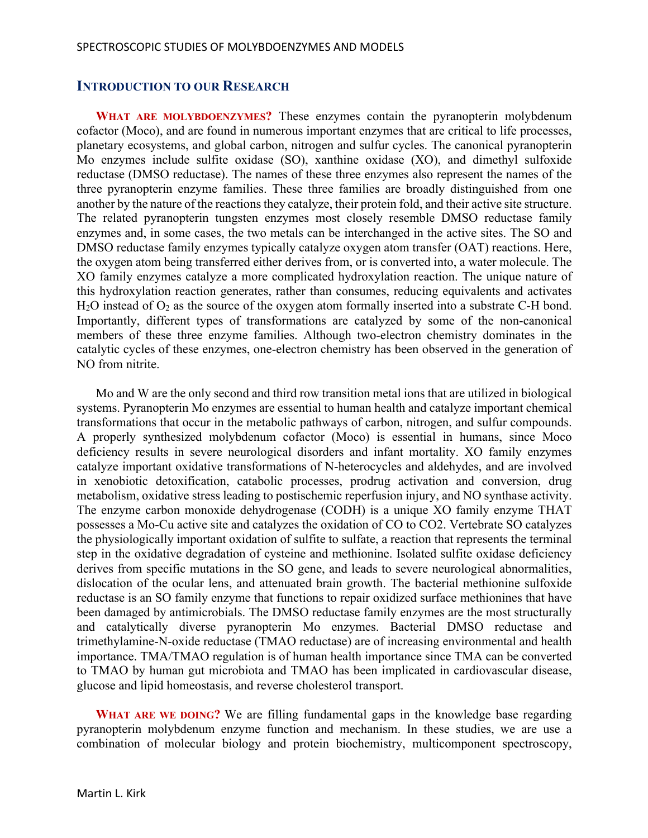## **INTRODUCTION TO OUR RESEARCH**

**WHAT ARE MOLYBDOENZYMES?** These enzymes contain the pyranopterin molybdenum cofactor (Moco), and are found in numerous important enzymes that are critical to life processes, planetary ecosystems, and global carbon, nitrogen and sulfur cycles. The canonical pyranopterin Mo enzymes include sulfite oxidase (SO), xanthine oxidase (XO), and dimethyl sulfoxide reductase (DMSO reductase). The names of these three enzymes also represent the names of the three pyranopterin enzyme families. These three families are broadly distinguished from one another by the nature of the reactions they catalyze, their protein fold, and their active site structure. The related pyranopterin tungsten enzymes most closely resemble DMSO reductase family enzymes and, in some cases, the two metals can be interchanged in the active sites. The SO and DMSO reductase family enzymes typically catalyze oxygen atom transfer (OAT) reactions. Here, the oxygen atom being transferred either derives from, or is converted into, a water molecule. The XO family enzymes catalyze a more complicated hydroxylation reaction. The unique nature of this hydroxylation reaction generates, rather than consumes, reducing equivalents and activates  $H<sub>2</sub>O$  instead of  $O<sub>2</sub>$  as the source of the oxygen atom formally inserted into a substrate C-H bond. Importantly, different types of transformations are catalyzed by some of the non-canonical members of these three enzyme families. Although two-electron chemistry dominates in the catalytic cycles of these enzymes, one-electron chemistry has been observed in the generation of NO from nitrite.

Mo and W are the only second and third row transition metal ions that are utilized in biological systems. Pyranopterin Mo enzymes are essential to human health and catalyze important chemical transformations that occur in the metabolic pathways of carbon, nitrogen, and sulfur compounds. A properly synthesized molybdenum cofactor (Moco) is essential in humans, since Moco deficiency results in severe neurological disorders and infant mortality. XO family enzymes catalyze important oxidative transformations of N-heterocycles and aldehydes, and are involved in xenobiotic detoxification, catabolic processes, prodrug activation and conversion, drug metabolism, oxidative stress leading to postischemic reperfusion injury, and NO synthase activity. The enzyme carbon monoxide dehydrogenase (CODH) is a unique XO family enzyme THAT possesses a Mo-Cu active site and catalyzes the oxidation of CO to CO2. Vertebrate SO catalyzes the physiologically important oxidation of sulfite to sulfate, a reaction that represents the terminal step in the oxidative degradation of cysteine and methionine. Isolated sulfite oxidase deficiency derives from specific mutations in the SO gene, and leads to severe neurological abnormalities, dislocation of the ocular lens, and attenuated brain growth. The bacterial methionine sulfoxide reductase is an SO family enzyme that functions to repair oxidized surface methionines that have been damaged by antimicrobials. The DMSO reductase family enzymes are the most structurally and catalytically diverse pyranopterin Mo enzymes. Bacterial DMSO reductase and trimethylamine-N-oxide reductase (TMAO reductase) are of increasing environmental and health importance. TMA/TMAO regulation is of human health importance since TMA can be converted to TMAO by human gut microbiota and TMAO has been implicated in cardiovascular disease, glucose and lipid homeostasis, and reverse cholesterol transport.

**WHAT ARE WE DOING?** We are filling fundamental gaps in the knowledge base regarding pyranopterin molybdenum enzyme function and mechanism. In these studies, we are use a combination of molecular biology and protein biochemistry, multicomponent spectroscopy,